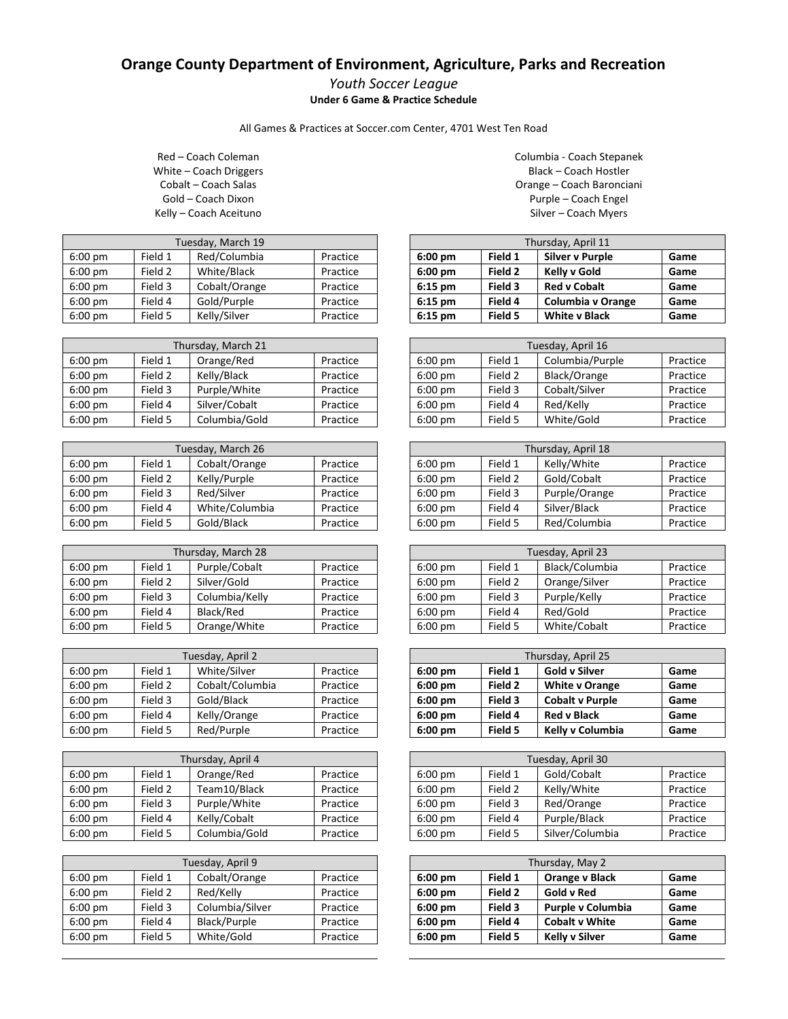## **Orange County Department of Environment, Agriculture, Parks and Recreation**

## *Youth Soccer League* **Under 6 Game & Practice Schedule**

All Games & Practices at Soccer.com Center, 4701 West Ten Road

Red – Coach Coleman White – Coach Driggers Cobalt – Coach Salas Gold – Coach Dixon Kelly – Coach Aceituno

| Tuesday, March 19 |         |               |          |
|-------------------|---------|---------------|----------|
| $6:00 \text{ pm}$ | Field 1 | Red/Columbia  | Practice |
| $6:00 \text{ pm}$ | Field 2 | White/Black   | Practice |
| $6:00 \text{ pm}$ | Field 3 | Cobalt/Orange | Practice |
| $6:00 \text{ pm}$ | Field 4 | Gold/Purple   | Practice |
| $6:00 \text{ pm}$ | Field 5 | Kelly/Silver  | Practice |

| Thursday, March 21 |         |               |          |
|--------------------|---------|---------------|----------|
| $6:00$ pm          | Field 1 | Orange/Red    | Practice |
| $6:00$ pm          | Field 2 | Kelly/Black   | Practice |
| 6:00 pm            | Field 3 | Purple/White  | Practice |
| $6:00$ pm          | Field 4 | Silver/Cobalt | Practice |
| $6:00$ pm          | Field 5 | Columbia/Gold | Practice |

|                   | Tuesday, March 26 |                |          |  |
|-------------------|-------------------|----------------|----------|--|
| $6:00 \text{ pm}$ | Field 1           | Cobalt/Orange  | Practice |  |
| $6:00$ pm         | Field 2           | Kelly/Purple   | Practice |  |
| $6:00$ pm         | Field 3           | Red/Silver     | Practice |  |
| $6:00$ pm         | Field 4           | White/Columbia | Practice |  |
| $6:00$ pm         | Field 5           | Gold/Black     | Practice |  |

| Thursday, March 28 |         |                |          |
|--------------------|---------|----------------|----------|
| $6:00 \text{ pm}$  | Field 1 | Purple/Cobalt  | Practice |
| $6:00 \text{ pm}$  | Field 2 | Silver/Gold    | Practice |
| $6:00 \text{ pm}$  | Field 3 | Columbia/Kelly | Practice |
| $6:00$ pm          | Field 4 | Black/Red      | Practice |
| $6:00$ pm          | Field 5 | Orange/White   | Practice |

| Tuesday, April 2  |         |                 |          |
|-------------------|---------|-----------------|----------|
| $6:00 \text{ pm}$ | Field 1 | White/Silver    | Practice |
| $6:00 \text{ pm}$ | Field 2 | Cobalt/Columbia | Practice |
| $6:00$ pm         | Field 3 | Gold/Black      | Practice |
| $6:00$ pm         | Field 4 | Kelly/Orange    | Practice |
| $6:00$ pm         | Field 5 | Red/Purple      | Practice |

| Thursday, April 4 |         |               |          |
|-------------------|---------|---------------|----------|
| $6:00 \text{ pm}$ | Field 1 | Orange/Red    | Practice |
| $6:00$ pm         | Field 2 | Team10/Black  | Practice |
| $6:00$ pm         | Field 3 | Purple/White  | Practice |
| $6:00$ pm         | Field 4 | Kelly/Cobalt  | Practice |
| 6:00 pm           | Field 5 | Columbia/Gold | Practice |

| Tuesday, April 9 |         |                 |          |
|------------------|---------|-----------------|----------|
| $6:00$ pm        | Field 1 | Cobalt/Orange   | Practice |
| $6:00$ pm        | Field 2 | Red/Kelly       | Practice |
| $6:00$ pm        | Field 3 | Columbia/Silver | Practice |
| $6:00$ pm        | Field 4 | Black/Purple    | Practice |
| $6:00$ pm        | Field 5 | White/Gold      | Practice |

Columbia - Coach Stepanek Black – Coach Hostler Orange – Coach Baronciani Purple – Coach Engel Silver – Coach Myers

| Thursday, April 11 |         |                        |      |  |
|--------------------|---------|------------------------|------|--|
| $6:00$ pm          | Field 1 | <b>Silver v Purple</b> | Game |  |
| $6:00$ pm          | Field 2 | Kelly v Gold           | Game |  |
| $6:15$ pm          | Field 3 | <b>Red v Cobalt</b>    | Game |  |
| $6:15$ pm          | Field 4 | Columbia v Orange      | Game |  |
| $6:15$ pm          | Field 5 | <b>White v Black</b>   | Game |  |

| Tuesday, April 16 |         |                 |          |
|-------------------|---------|-----------------|----------|
| $6:00$ pm         | Field 1 | Columbia/Purple | Practice |
| $6:00$ pm         | Field 2 | Black/Orange    | Practice |
| $6:00$ pm         | Field 3 | Cobalt/Silver   | Practice |
| $6:00$ pm         | Field 4 | Red/Kelly       | Practice |
| $6:00$ pm         | Field 5 | White/Gold      | Practice |

| Thursday, April 18 |         |               |          |
|--------------------|---------|---------------|----------|
| $6:00$ pm          | Field 1 | Kelly/White   | Practice |
| $6:00$ pm          | Field 2 | Gold/Cobalt   | Practice |
| $6:00$ pm          | Field 3 | Purple/Orange | Practice |
| $6:00$ pm          | Field 4 | Silver/Black  | Practice |
| $6:00$ pm          | Field 5 | Red/Columbia  | Practice |

| Tuesday, April 23 |         |                |          |
|-------------------|---------|----------------|----------|
| $6:00$ pm         | Field 1 | Black/Columbia | Practice |
| $6:00$ pm         | Field 2 | Orange/Silver  | Practice |
| $6:00$ pm         | Field 3 | Purple/Kelly   | Practice |
| $6:00$ pm         | Field 4 | Red/Gold       | Practice |
| $6:00$ pm         | Field 5 | White/Cobalt   | Practice |

| Thursday, April 25 |         |                        |      |
|--------------------|---------|------------------------|------|
| $6:00$ pm          | Field 1 | <b>Gold v Silver</b>   | Game |
| $6:00$ pm          | Field 2 | <b>White v Orange</b>  | Game |
| $6:00$ pm          | Field 3 | <b>Cobalt v Purple</b> | Game |
| $6:00$ pm          | Field 4 | <b>Red v Black</b>     | Game |
| $6:00$ pm          | Field 5 | Kelly v Columbia       | Game |

| Tuesday, April 30 |         |                 |          |  |
|-------------------|---------|-----------------|----------|--|
| $6:00$ pm         | Field 1 | Gold/Cobalt     | Practice |  |
| $6:00$ pm         | Field 2 | Kelly/White     | Practice |  |
| $6:00$ pm         | Field 3 | Red/Orange      | Practice |  |
| $6:00$ pm         | Field 4 | Purple/Black    | Practice |  |
| $6:00$ pm         | Field 5 | Silver/Columbia | Practice |  |

| Thursday, May 2 |         |                          |      |  |
|-----------------|---------|--------------------------|------|--|
| $6:00$ pm       | Field 1 | <b>Orange v Black</b>    | Game |  |
| $6:00$ pm       | Field 2 | Gold v Red               | Game |  |
| $6:00$ pm       | Field 3 | <b>Purple v Columbia</b> | Game |  |
| $6:00$ pm       | Field 4 | <b>Cobalt v White</b>    | Game |  |
| $6:00$ pm       | Field 5 | <b>Kelly v Silver</b>    | Game |  |